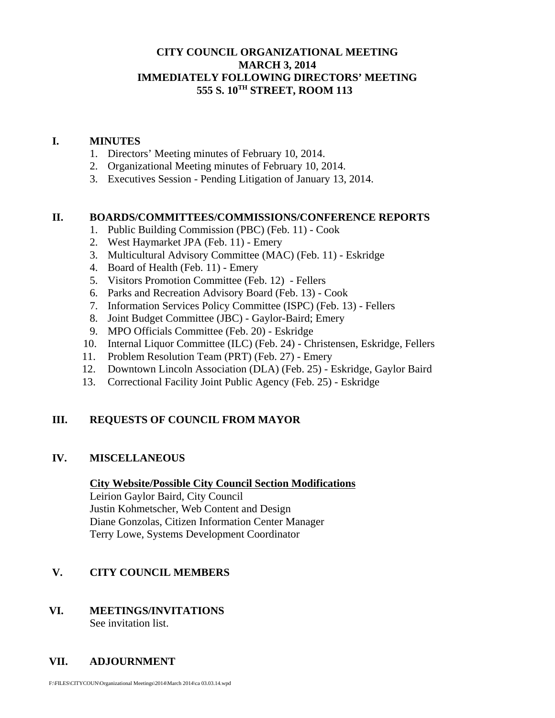## **CITY COUNCIL ORGANIZATIONAL MEETING MARCH 3, 2014 IMMEDIATELY FOLLOWING DIRECTORS' MEETING 555 S. 10TH STREET, ROOM 113**

#### **I. MINUTES**

- 1. Directors' Meeting minutes of February 10, 2014.
- 2. Organizational Meeting minutes of February 10, 2014.
- 3. Executives Session Pending Litigation of January 13, 2014.

#### **II. BOARDS/COMMITTEES/COMMISSIONS/CONFERENCE REPORTS**

- 1. Public Building Commission (PBC) (Feb. 11) Cook
- 2. West Haymarket JPA (Feb. 11) Emery
- 3. Multicultural Advisory Committee (MAC) (Feb. 11) Eskridge
- 4. Board of Health (Feb. 11) Emery
- 5. Visitors Promotion Committee (Feb. 12) Fellers
- 6. Parks and Recreation Advisory Board (Feb. 13) Cook
- 7. Information Services Policy Committee (ISPC) (Feb. 13) Fellers
- 8. Joint Budget Committee (JBC) Gaylor-Baird; Emery
- 9. MPO Officials Committee (Feb. 20) Eskridge
- 10. Internal Liquor Committee (ILC) (Feb. 24) Christensen, Eskridge, Fellers
- 11. Problem Resolution Team (PRT) (Feb. 27) Emery
- 12. Downtown Lincoln Association (DLA) (Feb. 25) Eskridge, Gaylor Baird
- 13. Correctional Facility Joint Public Agency (Feb. 25) Eskridge

## **III. REQUESTS OF COUNCIL FROM MAYOR**

#### **IV. MISCELLANEOUS**

#### **City Website/Possible City Council Section Modifications**

Leirion Gaylor Baird, City Council Justin Kohmetscher, Web Content and Design Diane Gonzolas, Citizen Information Center Manager Terry Lowe, Systems Development Coordinator

## **V. CITY COUNCIL MEMBERS**

# **VI. MEETINGS/INVITATIONS**

See invitation list.

# **VII. ADJOURNMENT**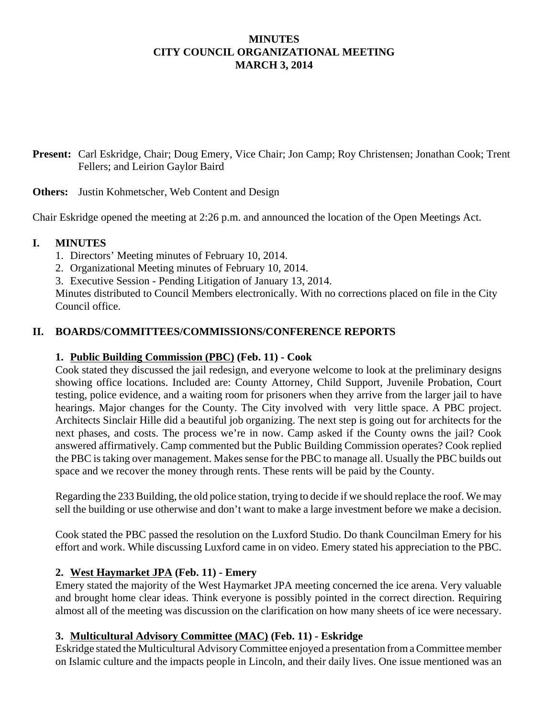## **MINUTES CITY COUNCIL ORGANIZATIONAL MEETING MARCH 3, 2014**

**Present:** Carl Eskridge, Chair; Doug Emery, Vice Chair; Jon Camp; Roy Christensen; Jonathan Cook; Trent Fellers; and Leirion Gaylor Baird

**Others:** Justin Kohmetscher, Web Content and Design

Chair Eskridge opened the meeting at 2:26 p.m. and announced the location of the Open Meetings Act.

## **I. MINUTES**

- 1. Directors' Meeting minutes of February 10, 2014.
- 2. Organizational Meeting minutes of February 10, 2014.
- 3. Executive Session Pending Litigation of January 13, 2014.

Minutes distributed to Council Members electronically. With no corrections placed on file in the City Council office.

## **II. BOARDS/COMMITTEES/COMMISSIONS/CONFERENCE REPORTS**

#### **1. Public Building Commission (PBC) (Feb. 11) - Cook**

Cook stated they discussed the jail redesign, and everyone welcome to look at the preliminary designs showing office locations. Included are: County Attorney, Child Support, Juvenile Probation, Court testing, police evidence, and a waiting room for prisoners when they arrive from the larger jail to have hearings. Major changes for the County. The City involved with very little space. A PBC project. Architects Sinclair Hille did a beautiful job organizing. The next step is going out for architects for the next phases, and costs. The process we're in now. Camp asked if the County owns the jail? Cook answered affirmatively. Camp commented but the Public Building Commission operates? Cook replied the PBC is taking over management. Makes sense for the PBC to manage all. Usually the PBC builds out space and we recover the money through rents. These rents will be paid by the County.

Regarding the 233 Building, the old police station, trying to decide if we should replace the roof. We may sell the building or use otherwise and don't want to make a large investment before we make a decision.

Cook stated the PBC passed the resolution on the Luxford Studio. Do thank Councilman Emery for his effort and work. While discussing Luxford came in on video. Emery stated his appreciation to the PBC.

## **2. West Haymarket JPA (Feb. 11) - Emery**

Emery stated the majority of the West Haymarket JPA meeting concerned the ice arena. Very valuable and brought home clear ideas. Think everyone is possibly pointed in the correct direction. Requiring almost all of the meeting was discussion on the clarification on how many sheets of ice were necessary.

## **3. Multicultural Advisory Committee (MAC) (Feb. 11) - Eskridge**

Eskridge stated the Multicultural Advisory Committee enjoyed a presentation from a Committee member on Islamic culture and the impacts people in Lincoln, and their daily lives. One issue mentioned was an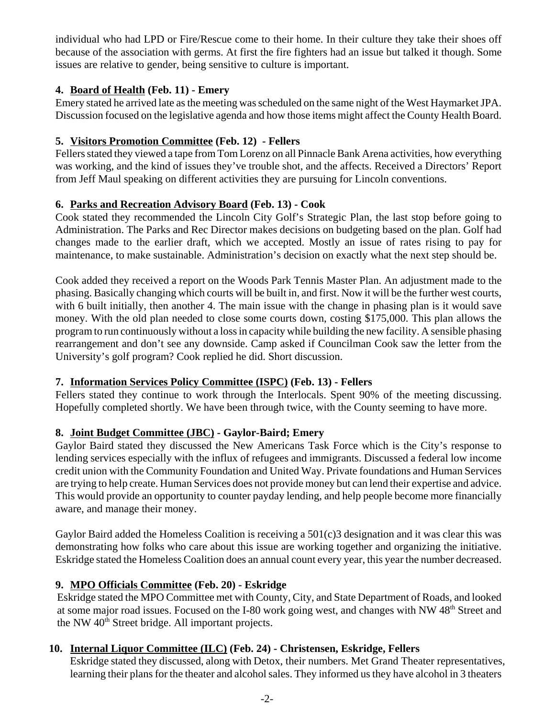individual who had LPD or Fire/Rescue come to their home. In their culture they take their shoes off because of the association with germs. At first the fire fighters had an issue but talked it though. Some issues are relative to gender, being sensitive to culture is important.

# **4. Board of Health (Feb. 11) - Emery**

Emery stated he arrived late as the meeting was scheduled on the same night of the West Haymarket JPA. Discussion focused on the legislative agenda and how those items might affect the County Health Board.

## **5. Visitors Promotion Committee (Feb. 12) - Fellers**

Fellers stated they viewed a tape from Tom Lorenz on all Pinnacle Bank Arena activities, how everything was working, and the kind of issues they've trouble shot, and the affects. Received a Directors' Report from Jeff Maul speaking on different activities they are pursuing for Lincoln conventions.

## **6. Parks and Recreation Advisory Board (Feb. 13) - Cook**

Cook stated they recommended the Lincoln City Golf's Strategic Plan, the last stop before going to Administration. The Parks and Rec Director makes decisions on budgeting based on the plan. Golf had changes made to the earlier draft, which we accepted. Mostly an issue of rates rising to pay for maintenance, to make sustainable. Administration's decision on exactly what the next step should be.

Cook added they received a report on the Woods Park Tennis Master Plan. An adjustment made to the phasing. Basically changing which courts will be built in, and first. Now it will be the further west courts, with 6 built initially, then another 4. The main issue with the change in phasing plan is it would save money. With the old plan needed to close some courts down, costing \$175,000. This plan allows the program to run continuously without a loss in capacity while building the new facility. A sensible phasing rearrangement and don't see any downside. Camp asked if Councilman Cook saw the letter from the University's golf program? Cook replied he did. Short discussion.

## **7. Information Services Policy Committee (ISPC) (Feb. 13) - Fellers**

Fellers stated they continue to work through the Interlocals. Spent 90% of the meeting discussing. Hopefully completed shortly. We have been through twice, with the County seeming to have more.

# **8. Joint Budget Committee (JBC) - Gaylor-Baird; Emery**

Gaylor Baird stated they discussed the New Americans Task Force which is the City's response to lending services especially with the influx of refugees and immigrants. Discussed a federal low income credit union with the Community Foundation and United Way. Private foundations and Human Services are trying to help create. Human Services does not provide money but can lend their expertise and advice. This would provide an opportunity to counter payday lending, and help people become more financially aware, and manage their money.

Gaylor Baird added the Homeless Coalition is receiving a 501(c)3 designation and it was clear this was demonstrating how folks who care about this issue are working together and organizing the initiative. Eskridge stated the Homeless Coalition does an annual count every year, this year the number decreased.

# **9. MPO Officials Committee (Feb. 20) - Eskridge**

Eskridge stated the MPO Committee met with County, City, and State Department of Roads, and looked at some major road issues. Focused on the I-80 work going west, and changes with NW 48<sup>th</sup> Street and the NW  $40<sup>th</sup>$  Street bridge. All important projects.

# **10. Internal Liquor Committee (ILC) (Feb. 24) - Christensen, Eskridge, Fellers**

 Eskridge stated they discussed, along with Detox, their numbers. Met Grand Theater representatives, learning their plans for the theater and alcohol sales. They informed us they have alcohol in 3 theaters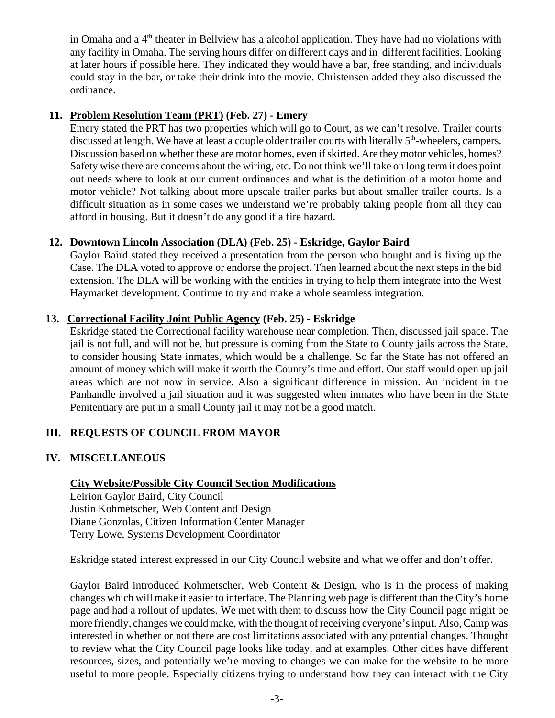in Omaha and a  $4<sup>th</sup>$  theater in Bellview has a alcohol application. They have had no violations with any facility in Omaha. The serving hours differ on different days and in different facilities. Looking at later hours if possible here. They indicated they would have a bar, free standing, and individuals could stay in the bar, or take their drink into the movie. Christensen added they also discussed the ordinance.

#### **11. Problem Resolution Team (PRT) (Feb. 27) - Emery**

Emery stated the PRT has two properties which will go to Court, as we can't resolve. Trailer courts discussed at length. We have at least a couple older trailer courts with literally  $5<sup>th</sup>$ -wheelers, campers. Discussion based on whether these are motor homes, even if skirted. Are they motor vehicles, homes? Safety wise there are concerns about the wiring, etc. Do not think we'll take on long term it does point out needs where to look at our current ordinances and what is the definition of a motor home and motor vehicle? Not talking about more upscale trailer parks but about smaller trailer courts. Is a difficult situation as in some cases we understand we're probably taking people from all they can afford in housing. But it doesn't do any good if a fire hazard.

## **12. Downtown Lincoln Association (DLA) (Feb. 25) - Eskridge, Gaylor Baird**

Gaylor Baird stated they received a presentation from the person who bought and is fixing up the Case. The DLA voted to approve or endorse the project. Then learned about the next steps in the bid extension. The DLA will be working with the entities in trying to help them integrate into the West Haymarket development. Continue to try and make a whole seamless integration.

## **13. Correctional Facility Joint Public Agency (Feb. 25) - Eskridge**

Eskridge stated the Correctional facility warehouse near completion. Then, discussed jail space. The jail is not full, and will not be, but pressure is coming from the State to County jails across the State, to consider housing State inmates, which would be a challenge. So far the State has not offered an amount of money which will make it worth the County's time and effort. Our staff would open up jail areas which are not now in service. Also a significant difference in mission. An incident in the Panhandle involved a jail situation and it was suggested when inmates who have been in the State Penitentiary are put in a small County jail it may not be a good match.

# **III. REQUESTS OF COUNCIL FROM MAYOR**

## **IV. MISCELLANEOUS**

## **City Website/Possible City Council Section Modifications**

Leirion Gaylor Baird, City Council Justin Kohmetscher, Web Content and Design Diane Gonzolas, Citizen Information Center Manager Terry Lowe, Systems Development Coordinator

Eskridge stated interest expressed in our City Council website and what we offer and don't offer.

Gaylor Baird introduced Kohmetscher, Web Content & Design, who is in the process of making changes which will make it easier to interface. The Planning web page is different than the City's home page and had a rollout of updates. We met with them to discuss how the City Council page might be more friendly, changes we could make, with the thought of receiving everyone's input. Also, Camp was interested in whether or not there are cost limitations associated with any potential changes. Thought to review what the City Council page looks like today, and at examples. Other cities have different resources, sizes, and potentially we're moving to changes we can make for the website to be more useful to more people. Especially citizens trying to understand how they can interact with the City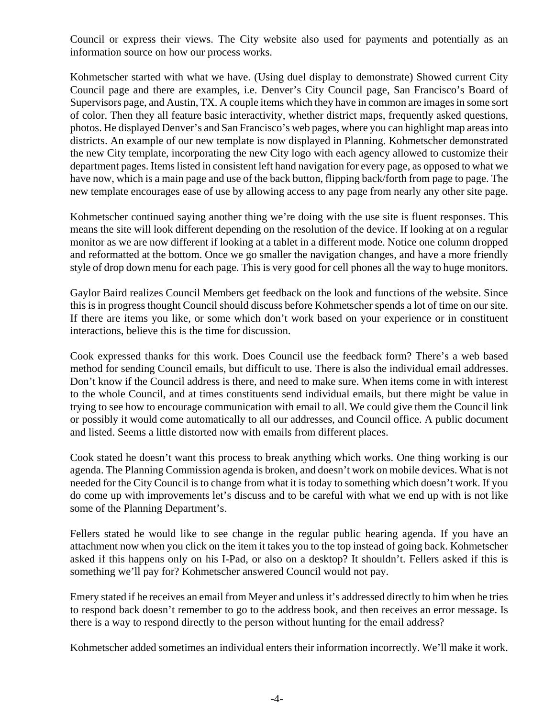Council or express their views. The City website also used for payments and potentially as an information source on how our process works.

Kohmetscher started with what we have. (Using duel display to demonstrate) Showed current City Council page and there are examples, i.e. Denver's City Council page, San Francisco's Board of Supervisors page, and Austin, TX. A couple items which they have in common are images in some sort of color. Then they all feature basic interactivity, whether district maps, frequently asked questions, photos. He displayed Denver's and San Francisco's web pages, where you can highlight map areas into districts. An example of our new template is now displayed in Planning. Kohmetscher demonstrated the new City template, incorporating the new City logo with each agency allowed to customize their department pages. Items listed in consistent left hand navigation for every page, as opposed to what we have now, which is a main page and use of the back button, flipping back/forth from page to page. The new template encourages ease of use by allowing access to any page from nearly any other site page.

Kohmetscher continued saying another thing we're doing with the use site is fluent responses. This means the site will look different depending on the resolution of the device. If looking at on a regular monitor as we are now different if looking at a tablet in a different mode. Notice one column dropped and reformatted at the bottom. Once we go smaller the navigation changes, and have a more friendly style of drop down menu for each page. This is very good for cell phones all the way to huge monitors.

Gaylor Baird realizes Council Members get feedback on the look and functions of the website. Since this is in progress thought Council should discuss before Kohmetscher spends a lot of time on our site. If there are items you like, or some which don't work based on your experience or in constituent interactions, believe this is the time for discussion.

Cook expressed thanks for this work. Does Council use the feedback form? There's a web based method for sending Council emails, but difficult to use. There is also the individual email addresses. Don't know if the Council address is there, and need to make sure. When items come in with interest to the whole Council, and at times constituents send individual emails, but there might be value in trying to see how to encourage communication with email to all. We could give them the Council link or possibly it would come automatically to all our addresses, and Council office. A public document and listed. Seems a little distorted now with emails from different places.

Cook stated he doesn't want this process to break anything which works. One thing working is our agenda. The Planning Commission agenda is broken, and doesn't work on mobile devices. What is not needed for the City Council is to change from what it is today to something which doesn't work. If you do come up with improvements let's discuss and to be careful with what we end up with is not like some of the Planning Department's.

Fellers stated he would like to see change in the regular public hearing agenda. If you have an attachment now when you click on the item it takes you to the top instead of going back. Kohmetscher asked if this happens only on his I-Pad, or also on a desktop? It shouldn't. Fellers asked if this is something we'll pay for? Kohmetscher answered Council would not pay.

Emery stated if he receives an email from Meyer and unless it's addressed directly to him when he tries to respond back doesn't remember to go to the address book, and then receives an error message. Is there is a way to respond directly to the person without hunting for the email address?

Kohmetscher added sometimes an individual enters their information incorrectly. We'll make it work.